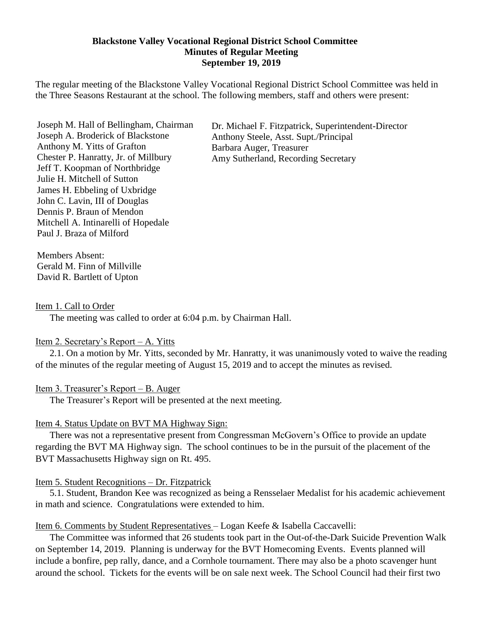#### **Blackstone Valley Vocational Regional District School Committee Minutes of Regular Meeting September 19, 2019**

The regular meeting of the Blackstone Valley Vocational Regional District School Committee was held in the Three Seasons Restaurant at the school. The following members, staff and others were present:

Joseph M. Hall of Bellingham, Chairman Joseph A. Broderick of Blackstone Anthony M. Yitts of Grafton Chester P. Hanratty, Jr. of Millbury Jeff T. Koopman of Northbridge Julie H. Mitchell of Sutton James H. Ebbeling of Uxbridge John C. Lavin, III of Douglas Dennis P. Braun of Mendon Mitchell A. Intinarelli of Hopedale Paul J. Braza of Milford

Dr. Michael F. Fitzpatrick, Superintendent-Director Anthony Steele, Asst. Supt./Principal Barbara Auger, Treasurer Amy Sutherland, Recording Secretary

Members Absent: Gerald M. Finn of Millville David R. Bartlett of Upton

#### Item 1. Call to Order

The meeting was called to order at 6:04 p.m. by Chairman Hall.

#### Item 2. Secretary's Report – A. Yitts

2.1. On a motion by Mr. Yitts, seconded by Mr. Hanratty, it was unanimously voted to waive the reading of the minutes of the regular meeting of August 15, 2019 and to accept the minutes as revised.

#### Item 3. Treasurer's Report – B. Auger

The Treasurer's Report will be presented at the next meeting.

#### Item 4. Status Update on BVT MA Highway Sign:

There was not a representative present from Congressman McGovern's Office to provide an update regarding the BVT MA Highway sign. The school continues to be in the pursuit of the placement of the BVT Massachusetts Highway sign on Rt. 495.

#### Item 5. Student Recognitions – Dr. Fitzpatrick

5.1. Student, Brandon Kee was recognized as being a Rensselaer Medalist for his academic achievement in math and science. Congratulations were extended to him.

#### Item 6. Comments by Student Representatives – Logan Keefe & Isabella Caccavelli:

The Committee was informed that 26 students took part in the Out-of-the-Dark Suicide Prevention Walk on September 14, 2019. Planning is underway for the BVT Homecoming Events. Events planned will include a bonfire, pep rally, dance, and a Cornhole tournament. There may also be a photo scavenger hunt around the school. Tickets for the events will be on sale next week. The School Council had their first two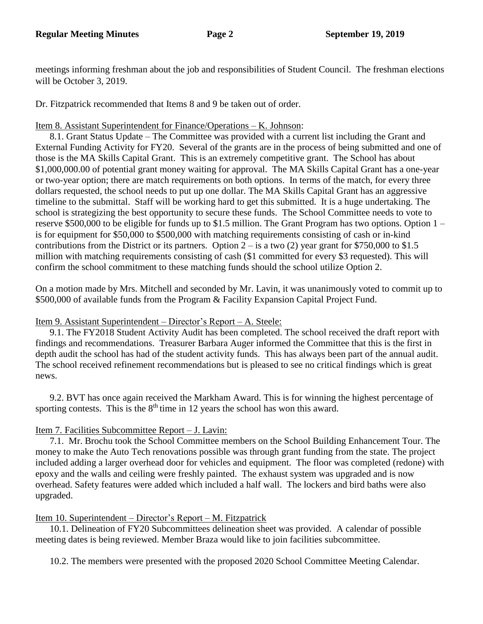meetings informing freshman about the job and responsibilities of Student Council. The freshman elections will be October 3, 2019.

Dr. Fitzpatrick recommended that Items 8 and 9 be taken out of order.

### Item 8. Assistant Superintendent for Finance/Operations – K. Johnson:

8.1. Grant Status Update – The Committee was provided with a current list including the Grant and External Funding Activity for FY20. Several of the grants are in the process of being submitted and one of those is the MA Skills Capital Grant. This is an extremely competitive grant. The School has about \$1,000,000.00 of potential grant money waiting for approval. The MA Skills Capital Grant has a one-year or two-year option; there are match requirements on both options. In terms of the match, for every three dollars requested, the school needs to put up one dollar. The MA Skills Capital Grant has an aggressive timeline to the submittal. Staff will be working hard to get this submitted. It is a huge undertaking. The school is strategizing the best opportunity to secure these funds. The School Committee needs to vote to reserve \$500,000 to be eligible for funds up to \$1.5 million. The Grant Program has two options. Option 1 – is for equipment for \$50,000 to \$500,000 with matching requirements consisting of cash or in-kind contributions from the District or its partners. Option  $2 - is a two (2)$  year grant for \$750,000 to \$1.5 million with matching requirements consisting of cash (\$1 committed for every \$3 requested). This will confirm the school commitment to these matching funds should the school utilize Option 2.

On a motion made by Mrs. Mitchell and seconded by Mr. Lavin, it was unanimously voted to commit up to \$500,000 of available funds from the Program & Facility Expansion Capital Project Fund.

# Item 9. Assistant Superintendent – Director's Report – A. Steele:

9.1. The FY2018 Student Activity Audit has been completed. The school received the draft report with findings and recommendations. Treasurer Barbara Auger informed the Committee that this is the first in depth audit the school has had of the student activity funds. This has always been part of the annual audit. The school received refinement recommendations but is pleased to see no critical findings which is great news.

9.2. BVT has once again received the Markham Award. This is for winning the highest percentage of sporting contests. This is the  $8<sup>th</sup>$  time in 12 years the school has won this award.

# Item 7. Facilities Subcommittee Report – J. Lavin:

7.1. Mr. Brochu took the School Committee members on the School Building Enhancement Tour. The money to make the Auto Tech renovations possible was through grant funding from the state. The project included adding a larger overhead door for vehicles and equipment. The floor was completed (redone) with epoxy and the walls and ceiling were freshly painted. The exhaust system was upgraded and is now overhead. Safety features were added which included a half wall. The lockers and bird baths were also upgraded.

# Item 10. Superintendent – Director's Report – M. Fitzpatrick

10.1. Delineation of FY20 Subcommittees delineation sheet was provided. A calendar of possible meeting dates is being reviewed. Member Braza would like to join facilities subcommittee.

10.2. The members were presented with the proposed 2020 School Committee Meeting Calendar.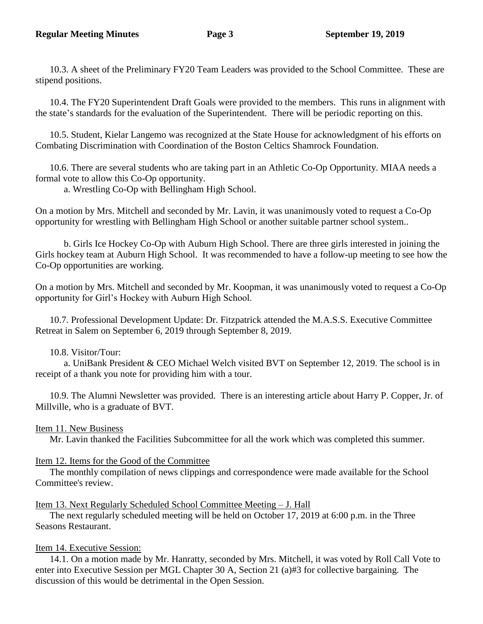10.3. A sheet of the Preliminary FY20 Team Leaders was provided to the School Committee. These are stipend positions.

10.4. The FY20 Superintendent Draft Goals were provided to the members. This runs in alignment with the state's standards for the evaluation of the Superintendent. There will be periodic reporting on this.

10.5. Student, Kielar Langemo was recognized at the State House for acknowledgment of his efforts on Combating Discrimination with Coordination of the Boston Celtics Shamrock Foundation.

10.6. There are several students who are taking part in an Athletic Co-Op Opportunity. MIAA needs a formal vote to allow this Co-Op opportunity.

a. Wrestling Co-Op with Bellingham High School.

On a motion by Mrs. Mitchell and seconded by Mr. Lavin, it was unanimously voted to request a Co-Op opportunity for wrestling with Bellingham High School or another suitable partner school system..

b. Girls Ice Hockey Co-Op with Auburn High School. There are three girls interested in joining the Girls hockey team at Auburn High School. It was recommended to have a follow-up meeting to see how the Co-Op opportunities are working.

On a motion by Mrs. Mitchell and seconded by Mr. Koopman, it was unanimously voted to request a Co-Op opportunity for Girl's Hockey with Auburn High School.

10.7. Professional Development Update: Dr. Fitzpatrick attended the M.A.S.S. Executive Committee Retreat in Salem on September 6, 2019 through September 8, 2019.

10.8. Visitor/Tour:

a. UniBank President & CEO Michael Welch visited BVT on September 12, 2019. The school is in receipt of a thank you note for providing him with a tour.

10.9. The Alumni Newsletter was provided. There is an interesting article about Harry P. Copper, Jr. of Millville, who is a graduate of BVT.

# Item 11. New Business

Mr. Lavin thanked the Facilities Subcommittee for all the work which was completed this summer.

# Item 12. Items for the Good of the Committee

The monthly compilation of news clippings and correspondence were made available for the School Committee's review.

# Item 13. Next Regularly Scheduled School Committee Meeting – J. Hall

The next regularly scheduled meeting will be held on October 17, 2019 at 6:00 p.m. in the Three Seasons Restaurant.

# Item 14. Executive Session:

14.1. On a motion made by Mr. Hanratty, seconded by Mrs. Mitchell, it was voted by Roll Call Vote to enter into Executive Session per MGL Chapter 30 A, Section 21 (a)#3 for collective bargaining. The discussion of this would be detrimental in the Open Session.